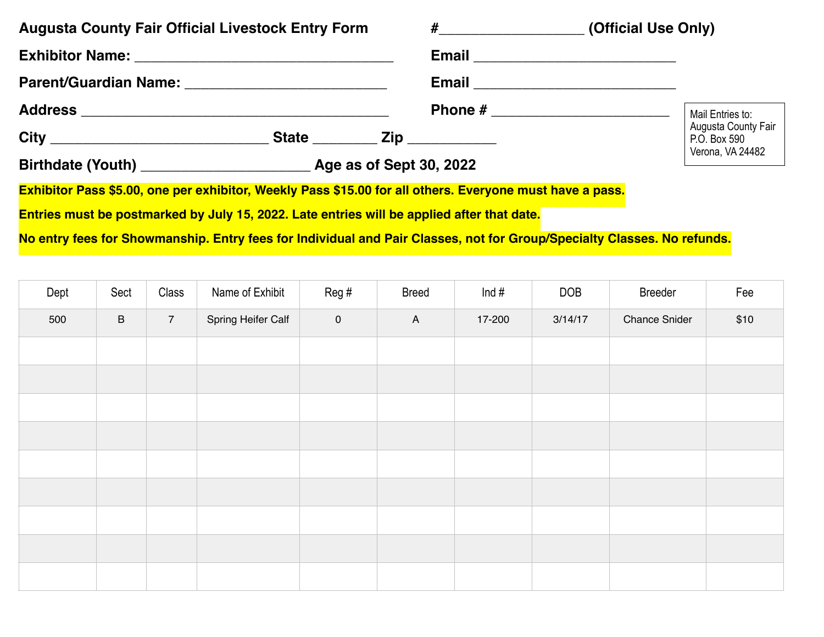| <b>Augusta County Fair Official Livestock Entry Form</b>                                                                | #______________________(Official Use Only) |                                     |  |  |
|-------------------------------------------------------------------------------------------------------------------------|--------------------------------------------|-------------------------------------|--|--|
|                                                                                                                         |                                            |                                     |  |  |
| Parent/Guardian Name: 2008 2010 2020 2021 2022 2023 2024 2022 2023 2024 2022 2023 2024 2022 2023 2024 2022 20           |                                            |                                     |  |  |
|                                                                                                                         |                                            | Mail Entries to:                    |  |  |
|                                                                                                                         |                                            | Augusta County Fair<br>P.O. Box 590 |  |  |
|                                                                                                                         |                                            | Verona, VA 24482                    |  |  |
| Exhibitor Pass \$5.00, one per exhibitor, Weekly Pass \$15.00 for all others. Everyone must have a pass.                |                                            |                                     |  |  |
| Entries must be postmarked by July 15, 2022. Late entries will be applied after that date.                              |                                            |                                     |  |  |
| No entry fees for Showmanship. Entry fees for Individual and Pair Classes, not for Group/Specialty Classes. No refunds. |                                            |                                     |  |  |

| Dept | Sect    | Class           | Name of Exhibit    | Reg#                | <b>Breed</b> | Ind $#$ | <b>DOB</b> | Breeder              | Fee  |
|------|---------|-----------------|--------------------|---------------------|--------------|---------|------------|----------------------|------|
| 500  | $\sf B$ | $7\overline{ }$ | Spring Heifer Calf | $\mathsf{O}\xspace$ | $\mathsf{A}$ | 17-200  | 3/14/17    | <b>Chance Snider</b> | \$10 |
|      |         |                 |                    |                     |              |         |            |                      |      |
|      |         |                 |                    |                     |              |         |            |                      |      |
|      |         |                 |                    |                     |              |         |            |                      |      |
|      |         |                 |                    |                     |              |         |            |                      |      |
|      |         |                 |                    |                     |              |         |            |                      |      |
|      |         |                 |                    |                     |              |         |            |                      |      |
|      |         |                 |                    |                     |              |         |            |                      |      |
|      |         |                 |                    |                     |              |         |            |                      |      |
|      |         |                 |                    |                     |              |         |            |                      |      |
|      |         |                 |                    |                     |              |         |            |                      |      |